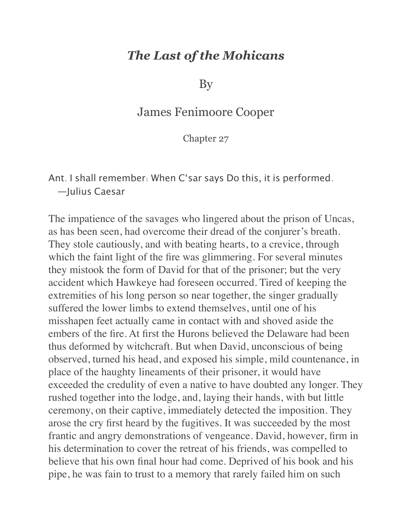## *The Last of the Mohicans*

By

## James Fenimoore Cooper

Chapter 27

Ant. I shall remember: When C'sar says Do this, it is performed. —Julius Caesar

The impatience of the savages who lingered about the prison of Uncas, as has been seen, had overcome their dread of the conjurer's breath. They stole cautiously, and with beating hearts, to a crevice, through which the faint light of the fire was glimmering. For several minutes they mistook the form of David for that of the prisoner; but the very accident which Hawkeye had foreseen occurred. Tired of keeping the extremities of his long person so near together, the singer gradually suffered the lower limbs to extend themselves, until one of his misshapen feet actually came in contact with and shoved aside the embers of the fire. At first the Hurons believed the Delaware had been thus deformed by witchcraft. But when David, unconscious of being observed, turned his head, and exposed his simple, mild countenance, in place of the haughty lineaments of their prisoner, it would have exceeded the credulity of even a native to have doubted any longer. They rushed together into the lodge, and, laying their hands, with but little ceremony, on their captive, immediately detected the imposition. They arose the cry first heard by the fugitives. It was succeeded by the most frantic and angry demonstrations of vengeance. David, however, firm in his determination to cover the retreat of his friends, was compelled to believe that his own final hour had come. Deprived of his book and his pipe, he was fain to trust to a memory that rarely failed him on such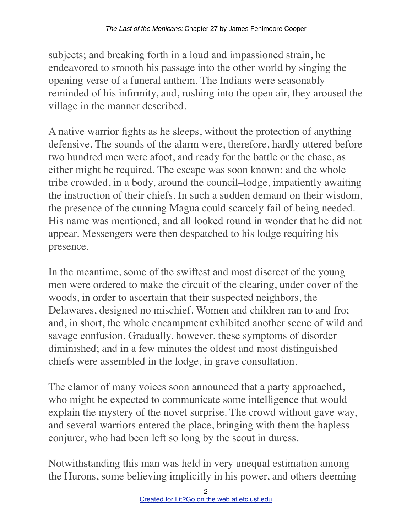subjects; and breaking forth in a loud and impassioned strain, he endeavored to smooth his passage into the other world by singing the opening verse of a funeral anthem. The Indians were seasonably reminded of his infirmity, and, rushing into the open air, they aroused the village in the manner described.

A native warrior fights as he sleeps, without the protection of anything defensive. The sounds of the alarm were, therefore, hardly uttered before two hundred men were afoot, and ready for the battle or the chase, as either might be required. The escape was soon known; and the whole tribe crowded, in a body, around the council–lodge, impatiently awaiting the instruction of their chiefs. In such a sudden demand on their wisdom, the presence of the cunning Magua could scarcely fail of being needed. His name was mentioned, and all looked round in wonder that he did not appear. Messengers were then despatched to his lodge requiring his presence.

In the meantime, some of the swiftest and most discreet of the young men were ordered to make the circuit of the clearing, under cover of the woods, in order to ascertain that their suspected neighbors, the Delawares, designed no mischief. Women and children ran to and fro; and, in short, the whole encampment exhibited another scene of wild and savage confusion. Gradually, however, these symptoms of disorder diminished; and in a few minutes the oldest and most distinguished chiefs were assembled in the lodge, in grave consultation.

The clamor of many voices soon announced that a party approached, who might be expected to communicate some intelligence that would explain the mystery of the novel surprise. The crowd without gave way, and several warriors entered the place, bringing with them the hapless conjurer, who had been left so long by the scout in duress.

Notwithstanding this man was held in very unequal estimation among the Hurons, some believing implicitly in his power, and others deeming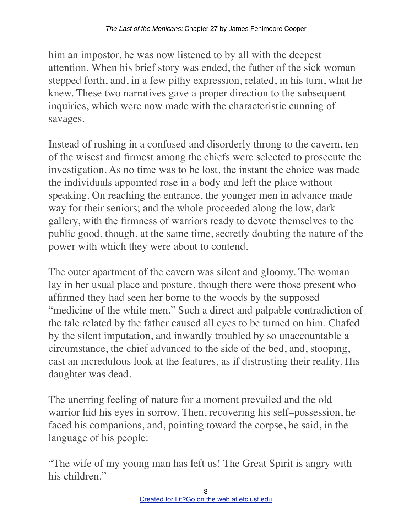him an impostor, he was now listened to by all with the deepest attention. When his brief story was ended, the father of the sick woman stepped forth, and, in a few pithy expression, related, in his turn, what he knew. These two narratives gave a proper direction to the subsequent inquiries, which were now made with the characteristic cunning of savages.

Instead of rushing in a confused and disorderly throng to the cavern, ten of the wisest and firmest among the chiefs were selected to prosecute the investigation. As no time was to be lost, the instant the choice was made the individuals appointed rose in a body and left the place without speaking. On reaching the entrance, the younger men in advance made way for their seniors; and the whole proceeded along the low, dark gallery, with the firmness of warriors ready to devote themselves to the public good, though, at the same time, secretly doubting the nature of the power with which they were about to contend.

The outer apartment of the cavern was silent and gloomy. The woman lay in her usual place and posture, though there were those present who affirmed they had seen her borne to the woods by the supposed "medicine of the white men." Such a direct and palpable contradiction of the tale related by the father caused all eyes to be turned on him. Chafed by the silent imputation, and inwardly troubled by so unaccountable a circumstance, the chief advanced to the side of the bed, and, stooping, cast an incredulous look at the features, as if distrusting their reality. His daughter was dead.

The unerring feeling of nature for a moment prevailed and the old warrior hid his eyes in sorrow. Then, recovering his self–possession, he faced his companions, and, pointing toward the corpse, he said, in the language of his people:

"The wife of my young man has left us! The Great Spirit is angry with his children."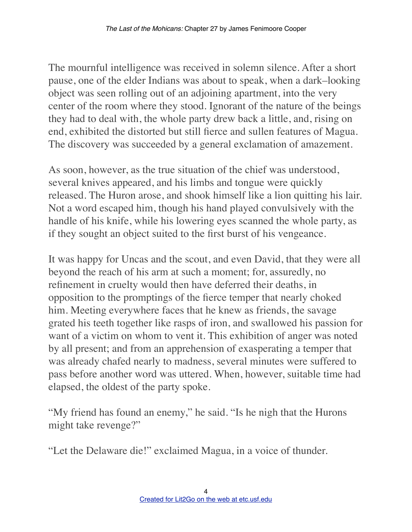The mournful intelligence was received in solemn silence. After a short pause, one of the elder Indians was about to speak, when a dark–looking object was seen rolling out of an adjoining apartment, into the very center of the room where they stood. Ignorant of the nature of the beings they had to deal with, the whole party drew back a little, and, rising on end, exhibited the distorted but still fierce and sullen features of Magua. The discovery was succeeded by a general exclamation of amazement.

As soon, however, as the true situation of the chief was understood, several knives appeared, and his limbs and tongue were quickly released. The Huron arose, and shook himself like a lion quitting his lair. Not a word escaped him, though his hand played convulsively with the handle of his knife, while his lowering eyes scanned the whole party, as if they sought an object suited to the first burst of his vengeance.

It was happy for Uncas and the scout, and even David, that they were all beyond the reach of his arm at such a moment; for, assuredly, no refinement in cruelty would then have deferred their deaths, in opposition to the promptings of the fierce temper that nearly choked him. Meeting everywhere faces that he knew as friends, the savage grated his teeth together like rasps of iron, and swallowed his passion for want of a victim on whom to vent it. This exhibition of anger was noted by all present; and from an apprehension of exasperating a temper that was already chafed nearly to madness, several minutes were suffered to pass before another word was uttered. When, however, suitable time had elapsed, the oldest of the party spoke.

"My friend has found an enemy," he said. "Is he nigh that the Hurons might take revenge?"

"Let the Delaware die!" exclaimed Magua, in a voice of thunder.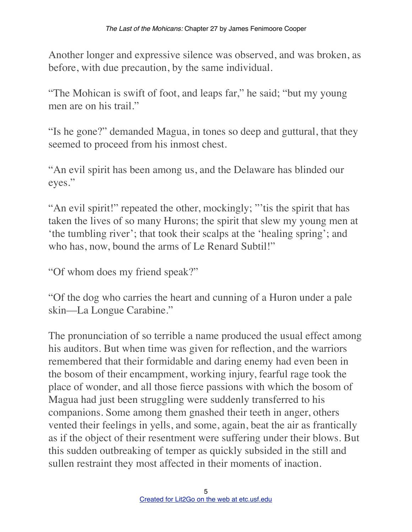Another longer and expressive silence was observed, and was broken, as before, with due precaution, by the same individual.

"The Mohican is swift of foot, and leaps far," he said; "but my young men are on his trail."

"Is he gone?" demanded Magua, in tones so deep and guttural, that they seemed to proceed from his inmost chest.

"An evil spirit has been among us, and the Delaware has blinded our eyes."

"An evil spirit!" repeated the other, mockingly; "'tis the spirit that has taken the lives of so many Hurons; the spirit that slew my young men at 'the tumbling river'; that took their scalps at the 'healing spring'; and who has, now, bound the arms of Le Renard Subtil!"

"Of whom does my friend speak?"

"Of the dog who carries the heart and cunning of a Huron under a pale skin––La Longue Carabine."

The pronunciation of so terrible a name produced the usual effect among his auditors. But when time was given for reflection, and the warriors remembered that their formidable and daring enemy had even been in the bosom of their encampment, working injury, fearful rage took the place of wonder, and all those fierce passions with which the bosom of Magua had just been struggling were suddenly transferred to his companions. Some among them gnashed their teeth in anger, others vented their feelings in yells, and some, again, beat the air as frantically as if the object of their resentment were suffering under their blows. But this sudden outbreaking of temper as quickly subsided in the still and sullen restraint they most affected in their moments of inaction.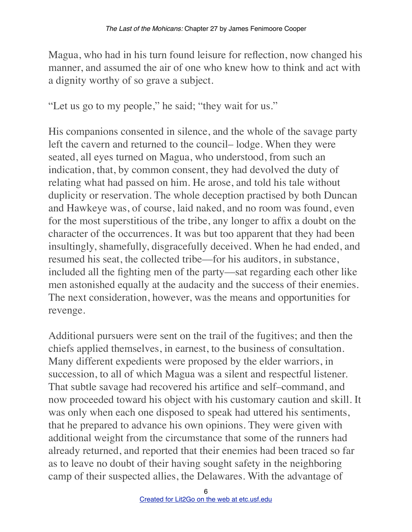Magua, who had in his turn found leisure for reflection, now changed his manner, and assumed the air of one who knew how to think and act with a dignity worthy of so grave a subject.

"Let us go to my people," he said; "they wait for us."

His companions consented in silence, and the whole of the savage party left the cavern and returned to the council– lodge. When they were seated, all eyes turned on Magua, who understood, from such an indication, that, by common consent, they had devolved the duty of relating what had passed on him. He arose, and told his tale without duplicity or reservation. The whole deception practised by both Duncan and Hawkeye was, of course, laid naked, and no room was found, even for the most superstitious of the tribe, any longer to affix a doubt on the character of the occurrences. It was but too apparent that they had been insultingly, shamefully, disgracefully deceived. When he had ended, and resumed his seat, the collected tribe––for his auditors, in substance, included all the fighting men of the party––sat regarding each other like men astonished equally at the audacity and the success of their enemies. The next consideration, however, was the means and opportunities for revenge.

Additional pursuers were sent on the trail of the fugitives; and then the chiefs applied themselves, in earnest, to the business of consultation. Many different expedients were proposed by the elder warriors, in succession, to all of which Magua was a silent and respectful listener. That subtle savage had recovered his artifice and self–command, and now proceeded toward his object with his customary caution and skill. It was only when each one disposed to speak had uttered his sentiments, that he prepared to advance his own opinions. They were given with additional weight from the circumstance that some of the runners had already returned, and reported that their enemies had been traced so far as to leave no doubt of their having sought safety in the neighboring camp of their suspected allies, the Delawares. With the advantage of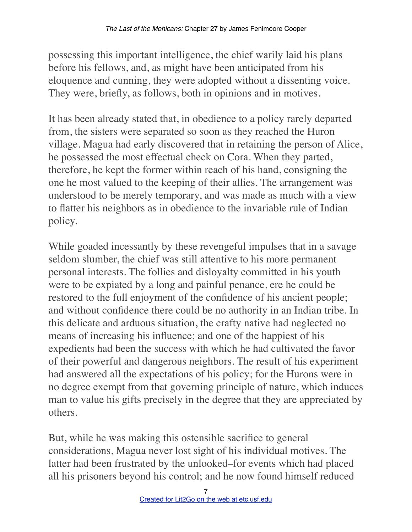possessing this important intelligence, the chief warily laid his plans before his fellows, and, as might have been anticipated from his eloquence and cunning, they were adopted without a dissenting voice. They were, briefly, as follows, both in opinions and in motives.

It has been already stated that, in obedience to a policy rarely departed from, the sisters were separated so soon as they reached the Huron village. Magua had early discovered that in retaining the person of Alice, he possessed the most effectual check on Cora. When they parted, therefore, he kept the former within reach of his hand, consigning the one he most valued to the keeping of their allies. The arrangement was understood to be merely temporary, and was made as much with a view to flatter his neighbors as in obedience to the invariable rule of Indian policy.

While goaded incessantly by these revengeful impulses that in a savage seldom slumber, the chief was still attentive to his more permanent personal interests. The follies and disloyalty committed in his youth were to be expiated by a long and painful penance, ere he could be restored to the full enjoyment of the confidence of his ancient people; and without confidence there could be no authority in an Indian tribe. In this delicate and arduous situation, the crafty native had neglected no means of increasing his influence; and one of the happiest of his expedients had been the success with which he had cultivated the favor of their powerful and dangerous neighbors. The result of his experiment had answered all the expectations of his policy; for the Hurons were in no degree exempt from that governing principle of nature, which induces man to value his gifts precisely in the degree that they are appreciated by others.

But, while he was making this ostensible sacrifice to general considerations, Magua never lost sight of his individual motives. The latter had been frustrated by the unlooked–for events which had placed all his prisoners beyond his control; and he now found himself reduced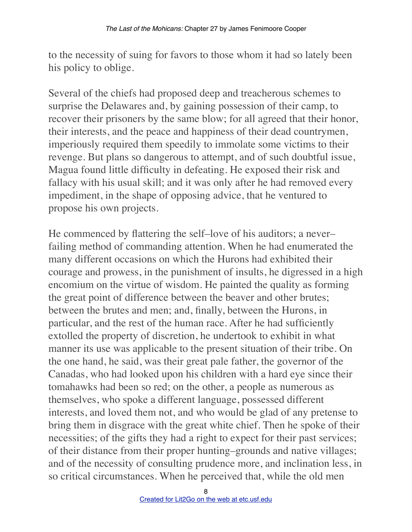to the necessity of suing for favors to those whom it had so lately been his policy to oblige.

Several of the chiefs had proposed deep and treacherous schemes to surprise the Delawares and, by gaining possession of their camp, to recover their prisoners by the same blow; for all agreed that their honor, their interests, and the peace and happiness of their dead countrymen, imperiously required them speedily to immolate some victims to their revenge. But plans so dangerous to attempt, and of such doubtful issue, Magua found little difficulty in defeating. He exposed their risk and fallacy with his usual skill; and it was only after he had removed every impediment, in the shape of opposing advice, that he ventured to propose his own projects.

He commenced by flattering the self–love of his auditors; a never– failing method of commanding attention. When he had enumerated the many different occasions on which the Hurons had exhibited their courage and prowess, in the punishment of insults, he digressed in a high encomium on the virtue of wisdom. He painted the quality as forming the great point of difference between the beaver and other brutes; between the brutes and men; and, finally, between the Hurons, in particular, and the rest of the human race. After he had sufficiently extolled the property of discretion, he undertook to exhibit in what manner its use was applicable to the present situation of their tribe. On the one hand, he said, was their great pale father, the governor of the Canadas, who had looked upon his children with a hard eye since their tomahawks had been so red; on the other, a people as numerous as themselves, who spoke a different language, possessed different interests, and loved them not, and who would be glad of any pretense to bring them in disgrace with the great white chief. Then he spoke of their necessities; of the gifts they had a right to expect for their past services; of their distance from their proper hunting–grounds and native villages; and of the necessity of consulting prudence more, and inclination less, in so critical circumstances. When he perceived that, while the old men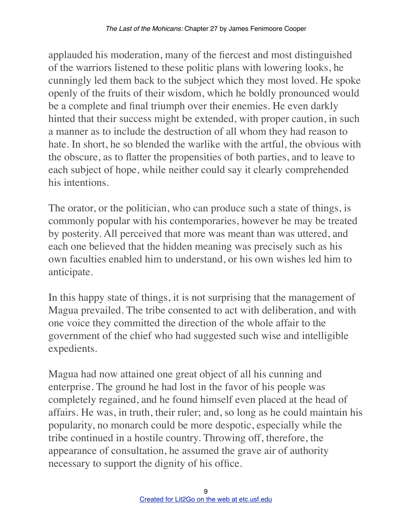applauded his moderation, many of the fiercest and most distinguished of the warriors listened to these politic plans with lowering looks, he cunningly led them back to the subject which they most loved. He spoke openly of the fruits of their wisdom, which he boldly pronounced would be a complete and final triumph over their enemies. He even darkly hinted that their success might be extended, with proper caution, in such a manner as to include the destruction of all whom they had reason to hate. In short, he so blended the warlike with the artful, the obvious with the obscure, as to flatter the propensities of both parties, and to leave to each subject of hope, while neither could say it clearly comprehended his intentions.

The orator, or the politician, who can produce such a state of things, is commonly popular with his contemporaries, however he may be treated by posterity. All perceived that more was meant than was uttered, and each one believed that the hidden meaning was precisely such as his own faculties enabled him to understand, or his own wishes led him to anticipate.

In this happy state of things, it is not surprising that the management of Magua prevailed. The tribe consented to act with deliberation, and with one voice they committed the direction of the whole affair to the government of the chief who had suggested such wise and intelligible expedients.

Magua had now attained one great object of all his cunning and enterprise. The ground he had lost in the favor of his people was completely regained, and he found himself even placed at the head of affairs. He was, in truth, their ruler; and, so long as he could maintain his popularity, no monarch could be more despotic, especially while the tribe continued in a hostile country. Throwing off, therefore, the appearance of consultation, he assumed the grave air of authority necessary to support the dignity of his office.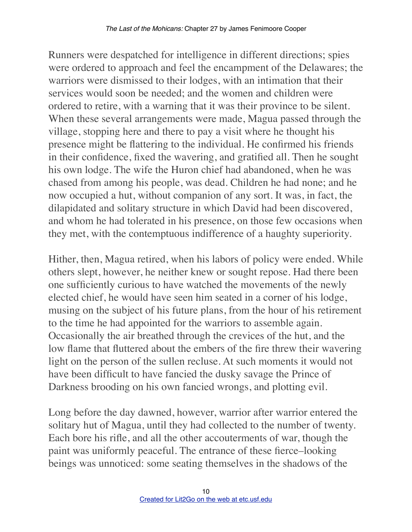Runners were despatched for intelligence in different directions; spies were ordered to approach and feel the encampment of the Delawares; the warriors were dismissed to their lodges, with an intimation that their services would soon be needed; and the women and children were ordered to retire, with a warning that it was their province to be silent. When these several arrangements were made, Magua passed through the village, stopping here and there to pay a visit where he thought his presence might be flattering to the individual. He confirmed his friends in their confidence, fixed the wavering, and gratified all. Then he sought his own lodge. The wife the Huron chief had abandoned, when he was chased from among his people, was dead. Children he had none; and he now occupied a hut, without companion of any sort. It was, in fact, the dilapidated and solitary structure in which David had been discovered, and whom he had tolerated in his presence, on those few occasions when they met, with the contemptuous indifference of a haughty superiority.

Hither, then, Magua retired, when his labors of policy were ended. While others slept, however, he neither knew or sought repose. Had there been one sufficiently curious to have watched the movements of the newly elected chief, he would have seen him seated in a corner of his lodge, musing on the subject of his future plans, from the hour of his retirement to the time he had appointed for the warriors to assemble again. Occasionally the air breathed through the crevices of the hut, and the low flame that fluttered about the embers of the fire threw their wavering light on the person of the sullen recluse. At such moments it would not have been difficult to have fancied the dusky savage the Prince of Darkness brooding on his own fancied wrongs, and plotting evil.

Long before the day dawned, however, warrior after warrior entered the solitary hut of Magua, until they had collected to the number of twenty. Each bore his rifle, and all the other accouterments of war, though the paint was uniformly peaceful. The entrance of these fierce–looking beings was unnoticed: some seating themselves in the shadows of the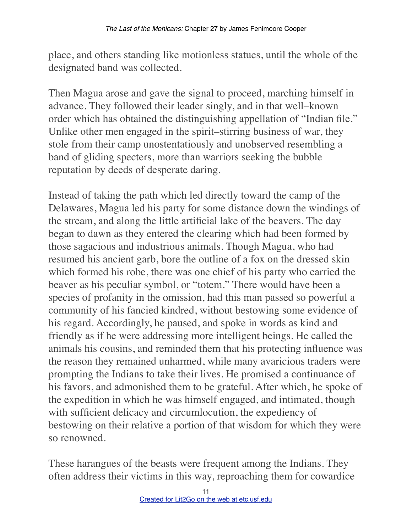place, and others standing like motionless statues, until the whole of the designated band was collected.

Then Magua arose and gave the signal to proceed, marching himself in advance. They followed their leader singly, and in that well–known order which has obtained the distinguishing appellation of "Indian file." Unlike other men engaged in the spirit–stirring business of war, they stole from their camp unostentatiously and unobserved resembling a band of gliding specters, more than warriors seeking the bubble reputation by deeds of desperate daring.

Instead of taking the path which led directly toward the camp of the Delawares, Magua led his party for some distance down the windings of the stream, and along the little artificial lake of the beavers. The day began to dawn as they entered the clearing which had been formed by those sagacious and industrious animals. Though Magua, who had resumed his ancient garb, bore the outline of a fox on the dressed skin which formed his robe, there was one chief of his party who carried the beaver as his peculiar symbol, or "totem." There would have been a species of profanity in the omission, had this man passed so powerful a community of his fancied kindred, without bestowing some evidence of his regard. Accordingly, he paused, and spoke in words as kind and friendly as if he were addressing more intelligent beings. He called the animals his cousins, and reminded them that his protecting influence was the reason they remained unharmed, while many avaricious traders were prompting the Indians to take their lives. He promised a continuance of his favors, and admonished them to be grateful. After which, he spoke of the expedition in which he was himself engaged, and intimated, though with sufficient delicacy and circumlocution, the expediency of bestowing on their relative a portion of that wisdom for which they were so renowned.

These harangues of the beasts were frequent among the Indians. They often address their victims in this way, reproaching them for cowardice